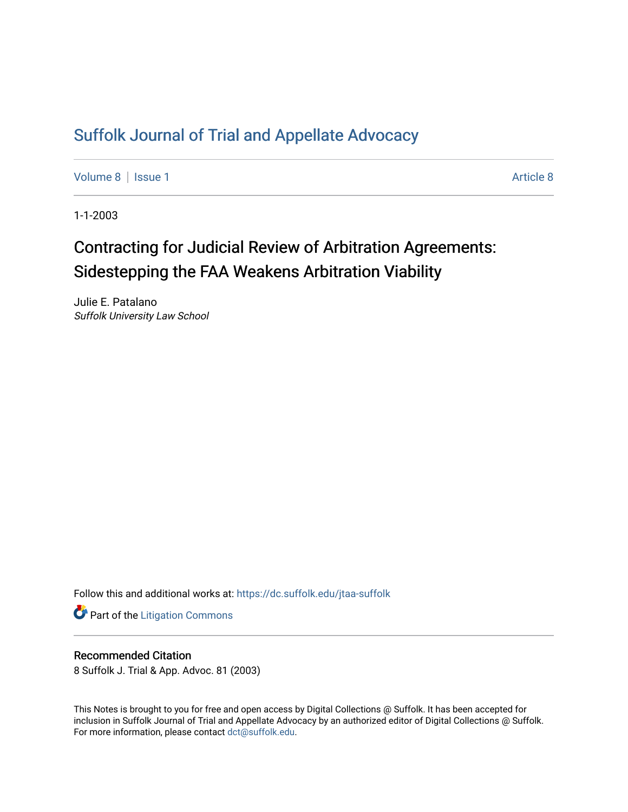## [Suffolk Journal of Trial and Appellate Advocacy](https://dc.suffolk.edu/jtaa-suffolk)

[Volume 8](https://dc.suffolk.edu/jtaa-suffolk/vol8) | [Issue 1](https://dc.suffolk.edu/jtaa-suffolk/vol8/iss1) [Article 8](https://dc.suffolk.edu/jtaa-suffolk/vol8/iss1/8) | Article 8 | Article 8 | Article 8 | Article 8 | Article 8 | Article 8 | Article 8 | Article 8 | Article 8 | Article 8 | Article 8 | Article 8 | Article 8 | Article 8 | Article 8 | Article 8 |

1-1-2003

# Contracting for Judicial Review of Arbitration Agreements: Sidestepping the FAA Weakens Arbitration Viability

Julie E. Patalano Suffolk University Law School

Follow this and additional works at: [https://dc.suffolk.edu/jtaa-suffolk](https://dc.suffolk.edu/jtaa-suffolk?utm_source=dc.suffolk.edu%2Fjtaa-suffolk%2Fvol8%2Fiss1%2F8&utm_medium=PDF&utm_campaign=PDFCoverPages) 

**Part of the [Litigation Commons](https://network.bepress.com/hgg/discipline/910?utm_source=dc.suffolk.edu%2Fjtaa-suffolk%2Fvol8%2Fiss1%2F8&utm_medium=PDF&utm_campaign=PDFCoverPages)** 

#### Recommended Citation

8 Suffolk J. Trial & App. Advoc. 81 (2003)

This Notes is brought to you for free and open access by Digital Collections @ Suffolk. It has been accepted for inclusion in Suffolk Journal of Trial and Appellate Advocacy by an authorized editor of Digital Collections @ Suffolk. For more information, please contact [dct@suffolk.edu](mailto:dct@suffolk.edu).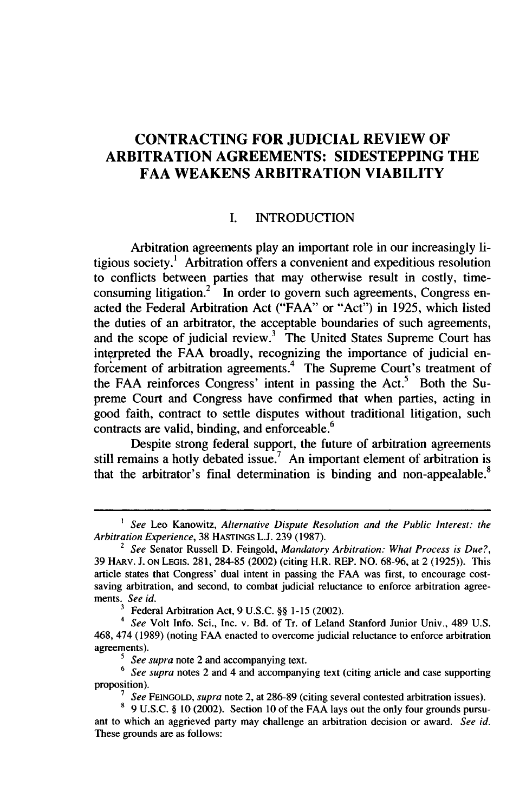### **CONTRACTING FOR JUDICIAL REVIEW OF ARBITRATION AGREEMENTS: SIDESTEPPING THE FAA WEAKENS ARBITRATION VIABILITY**

#### **I. INTRODUCTION**

Arbitration agreements play an important role in our increasingly litigious society.' Arbitration offers a convenient and expeditious resolution to conflicts between parties that may otherwise result in costly, timeconsuming litigation.<sup>2</sup> In order to govern such agreements, Congress enacted the Federal Arbitration Act ("FAA" or "Act") in 1925, which listed the duties of an arbitrator, the acceptable boundaries of such agreements and the scope of judicial review.<sup>3</sup> The United States Supreme Court has interpreted the FAA broadly, recognizing the importance of judicial enforcement of arbitration agreements.4 The Supreme Court's treatment of the FAA reinforces Congress' intent in passing the Act.<sup>5</sup> Both the Supreme Court and Congress have confirmed that when parties, acting in good faith, contract to settle disputes without traditional litigation, such contracts are valid, binding, and enforceable. $6$ 

Despite strong federal support, the future of arbitration agreements still remains a hotly debated issue.<sup>7</sup> An important element of arbitration is that the arbitrator's final determination is binding and non-appealable.<sup>8</sup>

*<sup>1</sup> See* Leo Kanowitz, *Alternative Dispute Resolution and the Public Interest: the Arbitration Experience,* 38 HASTINGS L.J. 239 (1987).

<sup>2</sup> *See* Senator Russell D. Feingold, *Mandatory Arbitration: What Process is Due?,* 39 HARv. J. ON LEGiS. 281, 284-85 (2002) (citing H.R. REP. NO. 68-96, at 2 (1925)). This article states that Congress' dual intent in passing the FAA was first, to encourage costsaving arbitration, and second, to combat judicial reluctance to enforce arbitration agreements. *See id.*

**<sup>3</sup>** Federal Arbitration Act, 9 U.S.C. §§ 1-15 (2002).

*<sup>4</sup> See* Volt Info. Sci., Inc. v. Bd. of Tr. of Leland Stanford Junior Univ., 489 U.S. 468, 474 (1989) (noting FAA enacted to overcome judicial reluctance to enforce arbitration agreements).

*<sup>5</sup>See supra* note 2 and accompanying text.

<sup>&</sup>lt;sup>6</sup> See supra notes 2 and 4 and accompanying text (citing article and case supporting proposition).

*<sup>7</sup> See* FEINGOLD, *supra* note 2, at 286-89 (citing several contested arbitration issues).

<sup>8 9</sup> U.S.C. § 10 (2002). Section 10 of the FAA lays out the only four grounds pursuant to which an aggrieved party may challenge an arbitration decision or award. *See id.* These grounds are as follows: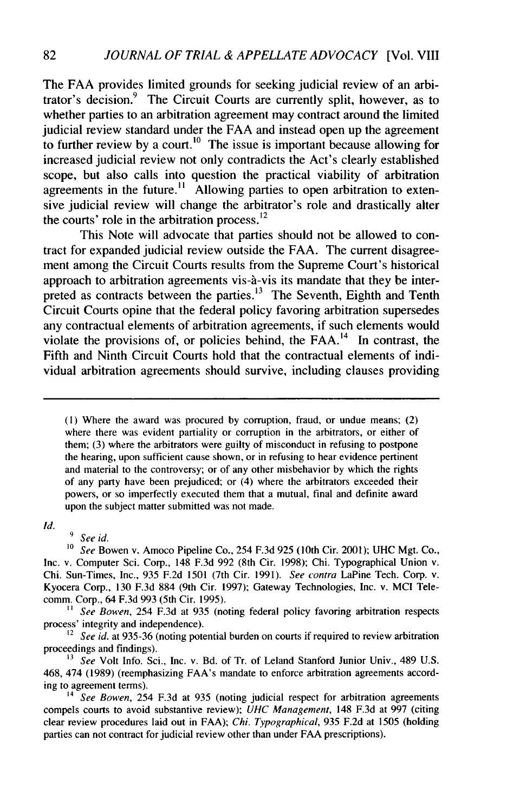The FAA provides limited grounds for seeking judicial review of an arbitrator's decision.<sup>9</sup> The Circuit Courts are currently split, however, as to whether parties to an arbitration agreement may contract around the limited judicial review standard under the FAA and instead open up the agreement to further review by a court.<sup>10</sup> The issue is important because allowing for increased judicial review not only contradicts the Act's clearly established scope, but also calls into question the practical viability of arbitration agreements in the future.<sup>11</sup> Allowing parties to open arbitration to extensive judicial review will change the arbitrator's role and drastically alter the courts' role in the arbitration process. $12$ 

This Note will advocate that parties should not be allowed to contract for expanded judicial review outside the FAA. The current disagreement among the Circuit Courts results from the Supreme Court's historical approach to arbitration agreements vis-à-vis its mandate that they be interpreted as contracts between the parties.<sup>13</sup> The Seventh, Eighth and Tenth Circuit Courts opine that the federal policy favoring arbitration supersedes any contractual elements of arbitration agreements, if such elements would violate the provisions of, or policies behind, the  $FAA$ .<sup>14</sup> In contrast, the Fifth and Ninth Circuit Courts hold that the contractual elements of individual arbitration agreements should survive, including clauses providing

(1) Where the award was procured by corruption, fraud, or undue means; (2) where there was evident partiality or corruption in the arbitrators, or either of them; (3) where the arbitrators were guilty of misconduct in refusing to postpone the hearing, upon sufficient cause shown, or in refusing to hear evidence pertinent and material to the controversy; or of any other misbehavior by which the rights of any party have been prejudiced; or (4) where the arbitrators exceeded their powers, or so imperfectly executed them that a mutual, final and definite award upon the subject matter submitted was not made.

*Id.*

*9 See id.*

*10 See* Bowen v. Amoco Pipeline Co., 254 F.3d 925 (10th Cir. 2001); UHC Mgt. Co., Inc. v. Computer Sci. Corp., 148 F.3d 992 (8th Cir. 1998); Chi. Typographical Union v. Chi. Sun-Times, Inc., 935 F.2d 1501 (7th Cir. 1991). *See contra* LaPine Tech. Corp. v. Kyocera Corp., 130 F.3d 884 (9th Cir. 1997); Gateway Technologies, Inc. v. MCI Telecomm. Corp., 64 F.3d 993 (5th Cir. 1995).

<sup>11</sup> *See Bowen,* 254 F.3d at 935 (noting federal policy favoring arbitration respects process' integrity and independence).

<sup>12</sup> See id. at 935-36 (noting potential burden on courts if required to review arbitration proceedings and findings).

**<sup>13</sup>***See* Volt Info. Sci., Inc. v. Bd. of Tr. of Leland Stanford Junior Univ., 489 U.S. 468, 474 (1989) (reemphasizing FAA's mandate to enforce arbitration agreements according to agreement terms).

*<sup>14</sup>See Bowen,* 254 F.3d at 935 (noting judicial respect for arbitration agreements compels courts to avoid substantive review); *UHC Management,* 148 F.3d at 997 (citing clear review procedures laid out in FAA); *Chi. Typographical,* 935 F.2d at 1505 (holding parties can not contract for judicial review other than under FAA prescriptions).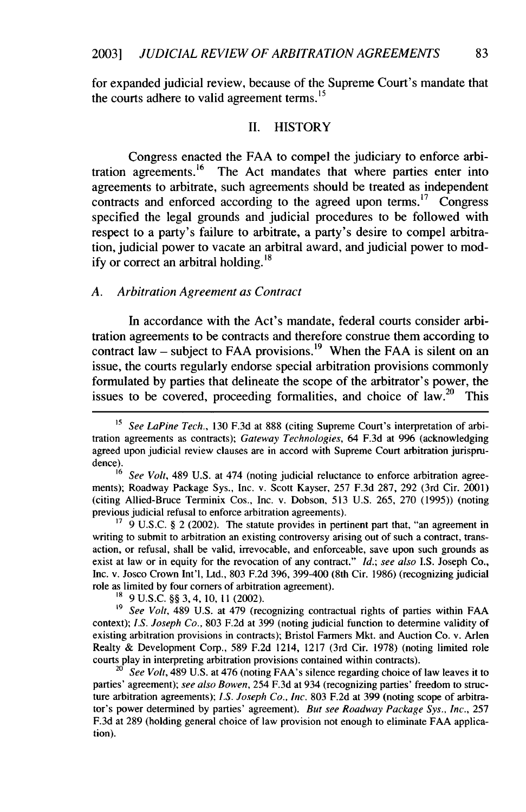for expanded judicial review, because of the Supreme Court's mandate that the courts adhere to valid agreement terms. **<sup>15</sup>**

#### II. HISTORY

Congress enacted the FAA to compel the judiciary to enforce arbitration agreements.<sup>16</sup> The Act mandates that where parties enter into agreements to arbitrate, such agreements should be treated as independent contracts and enforced according to the agreed upon terms.<sup>17</sup> Congress specified the legal grounds and judicial procedures to be followed with respect to a party's failure to arbitrate, a party's desire to compel arbitration, judicial power to vacate an arbitral award, and judicial power to modify or correct an arbitral holding.<sup>18</sup>

#### *A. Arbitration Agreement as Contract*

In accordance with the Act's mandate, federal courts consider arbitration agreements to be contracts and therefore construe them according to contract law – subject to FAA provisions.<sup>19</sup> When the FAA is silent on an issue, the courts regularly endorse special arbitration provisions commonly formulated by parties that delineate the scope of the arbitrator's power, the issues to be covered, proceeding formalities, and choice of law.<sup>20</sup> This

 $17\overline{9}$  U.S.C. § 2 (2002). The statute provides in pertinent part that, "an agreement in writing to submit to arbitration an existing controversy arising out of such a contract, transaction, or refusal, shall be valid, irrevocable, and enforceable, save upon such grounds as exist at law or in equity for the revocation of any contract." *Id.; see also* I.S. Joseph Co., Inc. v. Josco Crown Int'l, Ltd., 803 F.2d 396, 399-400 (8th Cir. 1986) (recognizing judicial role as limited by four corners of arbitration agreement).

**"8** 9 U.S.C. §§ 3,4, 10, 11 (2002).

**'9** *See Volt,* 489 U.S. at 479 (recognizing contractual rights of parties within FAA context); *I.S. Joseph Co.,* 803 F.2d at 399 (noting judicial function to determine validity of existing arbitration provisions in contracts); Bristol Farmers Mkt. and Auction Co. v. Arlen Realty & Development Corp., 589 F.2d 1214, 1217 (3rd Cir. 1978) (noting limited role courts play in interpreting arbitration provisions contained within contracts).

<sup>20</sup> See Volt, 489 U.S. at 476 (noting FAA's silence regarding choice of law leaves it to parties' agreement); *see also Bowen,* 254 F.3d at 934 (recognizing parties' freedom to structure arbitration agreements); *I.S. Joseph Co., Inc.* 803 F.2d at 399 (noting scope of arbitrator's power determined by parties' agreement). *But see Roadway Package Sys., Inc.,* 257 F.3d at 289 (holding general choice of law provision not enough to eliminate FAA application).

<sup>&</sup>lt;sup>15</sup> *See LaPine Tech.*, 130 F.3d at 888 (citing Supreme Court's interpretation of arbitration agreements as contracts); *Gateway Technologies,* 64 F.3d at 996 (acknowledging agreed upon judicial review clauses are in accord with Supreme Court arbitration jurisprudence).

See Volt, 489 U.S. at 474 (noting judicial reluctance to enforce arbitration agreements); Roadway Package Sys., Inc. v. Scott Kayser, 257 F.3d 287, 292 (3rd Cir. 2001) (citing Allied-Bruce Terminix Cos., Inc. v. Dobson, 513 U.S. 265, 270 (1995)) (noting previous judicial refusal to enforce arbitration agreements).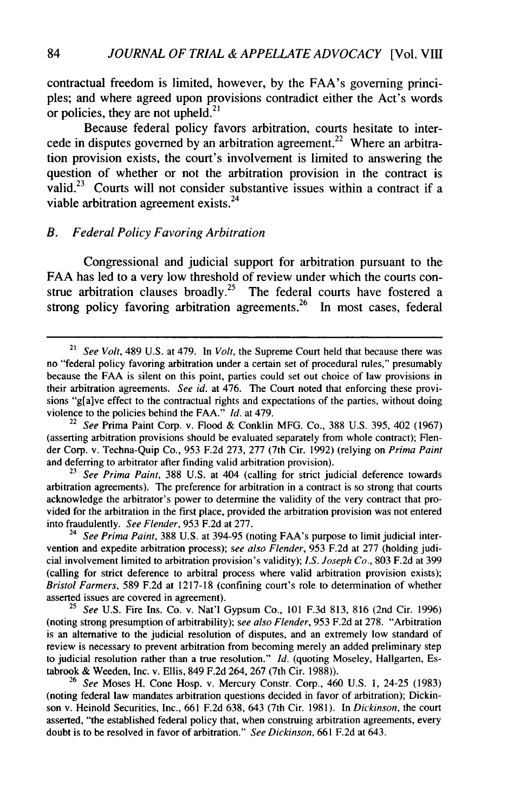contractual freedom is limited, however, by the FAA's governing principles; and where agreed upon provisions contradict either the Act's words or policies, they are not upheld. $^{21}$ 

Because federal policy favors arbitration, courts hesitate to intercede in disputes governed by an arbitration agreement.<sup>22</sup> Where an arbitration provision exists, the court's involvement is limited to answering the question of whether or not the arbitration provision in the contract is valid.<sup>23</sup> Courts will not consider substantive issues within a contract if a viable arbitration agreement exists.<sup>24</sup>

#### *B. Federal Policy Favoring Arbitration*

Congressional and judicial support for arbitration pursuant to the FAA has led to a very low threshold of review under which the courts construe arbitration clauses broadly.<sup>25</sup> The federal courts have fostered a **26** strong policy favoring arbitration agreements.<sup>26</sup> In most cases, federal

<sup>22</sup>*See* Prima Paint Corp. v. Flood & Conklin MFG. Co., 388 U.S. 395, 402 (1967) (asserting arbitration provisions should be evaluated separately from whole contract); Flender Corp. v. Techna-Quip Co., 953 F.2d 273, 277 (7th Cir. 1992) (relying on *Prima Paint* and deferring to arbitrator after finding valid arbitration provision).

See Prima Paint, 388 U.S. at 404 (calling for strict judicial deference towards arbitration agreements). The preference for arbitration in a contract is so strong that courts acknowledge the arbitrator's power to determine the validity of the very contract that provided for the arbitration in the first place, provided the arbitration provision was not entered into fraudulently. *See Flender,* 953 F.2d at 277.

<sup>24</sup> *See Prima Paint,* 388 U.S. at 394-95 (noting FAA's purpose to limit judicial intervention and expedite arbitration process); *see also Flender,* 953 F.2d at 277 (holding judicial involvement limited to arbitration provision's validity); *I.S. Joseph Co.,* 803 F.2d at 399 (calling for strict deference to arbitral process where valid arbitration provision exists); *Bristol Farmers,* 589 F.2d at 1217-18 (confining court's role to determination of whether asserted issues are covered in agreement).

<sup>25</sup>*See* U.S. Fire Ins. Co. v. Nat'l Gypsum Co., 101 F.3d 813, 816 (2nd Cir. 1996) (noting strong presumption of arbitrability); *see also Flender,* 953 F.2d at 278. "Arbitration is an alternative to the judicial resolution of disputes, and an extremely low standard of review is necessary to prevent arbitration from becoming merely an added preliminary step to judicial resolution rather than a true resolution." *Id.* (quoting Moseley, Hallgarten, Estabrook & Weeden, Inc. v. Ellis, 849 F.2d 264, 267 (7th Cir. 1988)).

<sup>26</sup>*See* Moses H. Cone Hosp. v. Mercury Constr. Corp., 460 U.S. 1, 24-25 (1983) (noting federal law mandates arbitration questions decided in favor of arbitration); Dickinson v. Heinold Securities, Inc., 661 F.2d 638, 643 (7th Cir. 1981). In *Dickinson,* the court asserted, "the established federal policy that, when construing arbitration agreements, every doubt is to be resolved in favor of arbitration." *See Dickinson,* 661 F.2d at 643.

<sup>21</sup>*See Volt,* 489 U.S. at 479. In *Volt,* the Supreme Court held that because there was no "federal policy favoring arbitration under a certain set of procedural rules," presumably because the FAA is silent on this point, parties could set out choice of law provisions in their arbitration agreements. *See id.* at 476. The Court noted that enforcing these provisions "g[a]ve effect to the contractual rights and expectations of the parties, without doing violence to the policies behind the FAA." *Id.* at 479.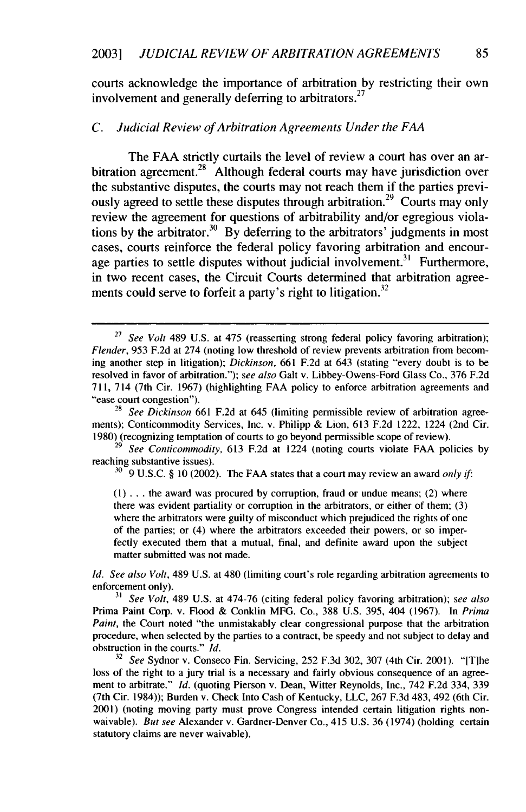courts acknowledge the importance of arbitration by restricting their own involvement and generally deferring to arbitrators.<sup>27</sup>

#### *C. Judicial Review of Arbitration Agreements Under the FAA*

The FAA strictly curtails the level of review a court has over an arbitration agreement.<sup>28</sup> Although federal courts may have jurisdiction over the substantive disputes, the courts may not reach them if the parties previously agreed to settle these disputes through arbitration.<sup>29</sup> Courts may only review the agreement for questions of arbitrability and/or egregious violations by the arbitrator.<sup>30</sup> By deferring to the arbitrators' judgments in most cases, courts reinforce the federal policy favoring arbitration and encourage parties to settle disputes without judicial involvement.<sup>31</sup> Furthermore in two recent cases, the Circuit Courts determined that arbitration agreements could serve to forfeit a party's right to litigation.<sup>32</sup>

<sup>30</sup> 9 U.S.C. § 10 (2002). The FAA states that a court may review an award *only if:* 

(1) ... the award was procured by corruption, fraud or undue means; (2) where there was evident partiality or corruption in the arbitrators, or either of them; (3) where the arbitrators were guilty of misconduct which prejudiced the rights of one of the parties; or (4) where the arbitrators exceeded their powers, or so imperfectly executed them that a mutual, final, and definite award upon the subject matter submitted was not made.

*Id. See also Volt,* 489 U.S. at 480 (limiting court's role regarding arbitration agreements to enforcement only).

*3' See Volt,* 489 U.S. at 474-76 (citing federal policy favoring arbitration); *see also* Prima Paint Corp. v. Flood & Conklin MFG. Co., 388 U.S. 395, 404 (1967). In Prima *Paint*, the Court noted "the unmistakably clear congressional purpose that the arbitration procedure, when selected by the parties to a contract, be speedy and not subject to delay and obstruction in the courts." *Id.*

*<sup>32</sup>See* Sydnor v. Conseco Fin. Servicing, 252 F.3d 302, 307 (4th Cir. 2001). "[T/he loss of the right to a jury trial is a necessary and fairly obvious consequence of an agreement to arbitrate." *Id.* (quoting Pierson v. Dean, Witter Reynolds, Inc., 742 F.2d 334, 339 (7th Cir. 1984)); Burden v. Check Into Cash of Kentucky, LLC, 267 F.3d 483, 492 (6th Cir. 2001) (noting moving party must prove Congress intended certain litigation rights nonwaivable). *But see* Alexander v. Gardner-Denver Co., 415 U.S. 36 (1974) (holding certain statutory claims are never waivable).

<sup>&</sup>lt;sup>27</sup> See Volt 489 U.S. at 475 (reasserting strong federal policy favoring arbitration); Flender, 953 F.2d at 274 (noting low threshold of review prevents arbitration from becoming another step in litigation); *Dickinson,* 661 F.2d at 643 (stating "every doubt is to be resolved in favor of arbitration."); *see also* Gait v. Libbey-Owens-Ford Glass Co., 376 F.2d 711, 714 (7th Cir. 1967) (highlighting FAA policy to enforce arbitration agreements and "ease court congestion").

<sup>&</sup>lt;sup>28</sup> *See Dickinson* 661 F.2d at 645 (limiting permissible review of arbitration agreements); Conticommodity Services, Inc. v. Philipp & Lion, 613 F.2d 1222, 1224 (2nd Cir. 1980) (recognizing temptation of courts to go beyond permissible scope of review).

<sup>29</sup>*See Conticommodity,* 613 F.2d at 1224 (noting courts violate FAA policies by reaching substantive issues).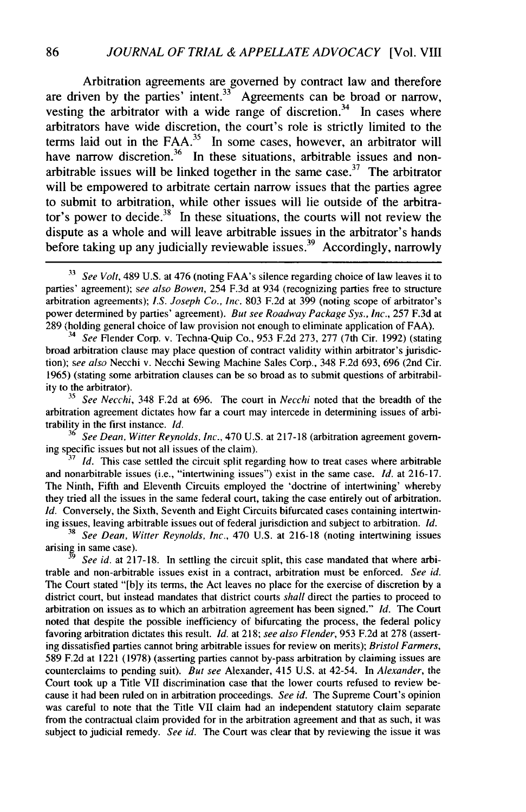Arbitration agreements are governed by contract law and therefore are driven by the parties' intent.<sup>33</sup> Agreements can be broad or narrow, vesting the arbitrator with a wide range of discretion.<sup>34</sup> In cases where arbitrators have wide discretion, the court's role is strictly limited to the terms laid out in the FAA. $35$  In some cases, however, an arbitrator will have narrow discretion.<sup>36</sup> In these situations, arbitrable issues and nonarbitrable issues will be linked together in the same case.<sup>37</sup> The arbitrator will be empowered to arbitrate certain narrow issues that the parties agree to submit to arbitration, while other issues will lie outside of the arbitrator's power to decide.<sup>38</sup> In these situations, the courts will not review the dispute as a whole and will leave arbitrable issues in the arbitrator's hands before taking up any judicially reviewable issues.<sup>39</sup> Accordingly, narrowly

- *See* Flender Corp. v. Techna-Quip Co., 953 F.2d 273, 277 (7th Cir. 1992) (stating broad arbitration clause may place question of contract validity within arbitrator's jurisdiction); *see also* Necchi v. Necchi Sewing Machine Sales Corp., 348 F.2d 693, 696 (2nd Cir. 1965) (stating some arbitration clauses can be so broad as to submit questions of arbitrability to the arbitrator).

*<sup>35</sup>See Necchi,* 348 F.2d at 696. The court in *Necchi* noted that the breadth of the arbitration agreement dictates how far a court may intercede in determining issues of arbitrability in the first instance. *Id.*

36 *See Dean, Witter Reynolds,* Inc., 470 U.S. at 217-18 (arbitration agreement governing specific issues but not all issues of the claim).

**<sup>37</sup>***Id.* This case settled the circuit split regarding how to treat cases where arbitrable and nonarbitrable issues (i.e., "intertwining issues") exist in the same case. *Id.* at 216-17. The Ninth, Fifth and Eleventh Circuits employed the 'doctrine of intertwining' whereby they tried all the issues in the same federal court, taking the case entirely out of arbitration. *Id.* Conversely, the Sixth, Seventh and Eight Circuits bifurcated cases containing intertwining issues, leaving arbitrable issues out of federal jurisdiction and subject to arbitration. *Id.*

38 *See Dean, Witter Reynolds, Inc.,* 470 U.S. at 216-18 (noting intertwining issues arising in same case).

**9** *See id.* at 217-18. In settling the circuit split, this case mandated that where arbitrable and non-arbitrable issues exist in a contract, arbitration must be enforced. *See id.* The Court stated "[b]y its terms, the Act leaves no place for the exercise of discretion by a district court, but instead mandates that district courts *shall* direct the parties to proceed to arbitration on issues as to which an arbitration agreement has been signed." *Id.* The Court noted that despite the possible inefficiency of bifurcating the process, the federal policy favoring arbitration dictates this result. *Id.* at 218; *see also Flender,* 953 F.2d at 278 (asserting dissatisfied parties cannot bring arbitrable issues for review on merits); *Bristol Farmers,* 589 F.2d at 1221 (1978) (asserting parties cannot by-pass arbitration by claiming issues are counterclaims to pending suit). *But see* Alexander, 415 U.S. at 42-54. In *Alexander,* the Court took up a Title VII discrimination case that the lower courts refused to review because it had been ruled on in arbitration proceedings. *See id.* The Supreme Court's opinion was careful to note that the Title VII claim had an independent statutory claim separate from the contractual claim provided for in the arbitration agreement and that as such, it was subject to judicial remedy. *See id.* The Court was clear that by reviewing the issue it was

<sup>&</sup>lt;sup>33</sup> See Volt, 489 U.S. at 476 (noting FAA's silence regarding choice of law leaves it to parties' agreement); *see also Bowen,* 254 F.3d at 934 (recognizing parties free to structure arbitration agreements); *I.S. Joseph Co., Inc.* 803 F.2d at 399 (noting scope of arbitrator's power determined by parties' agreement). *But see Roadway Package Sys., Inc.,* 257 F.3d at 289 (holding general choice of law provision not enough to eliminate application of FAA).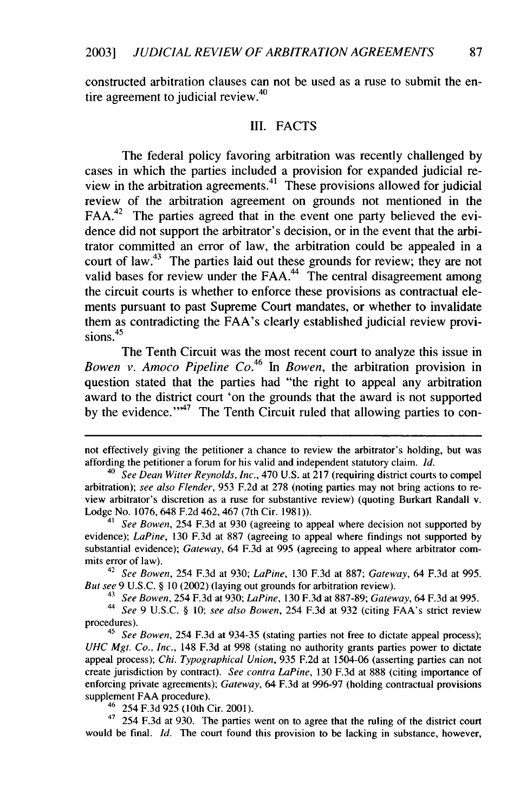constructed arbitration clauses can not be used as a ruse to submit the entire agreement to judicial review. $40$ 

#### III. **FACTS**

The federal policy favoring arbitration was recently challenged **by** cases in which the parties included a provision for expanded judicial review in the arbitration agreements. $41$  These provisions allowed for judicial review of the arbitration agreement on grounds not mentioned in the **FAA.42** The parties agreed that in the event one party believed the evidence did not support the arbitrator's decision, or in the event that the arbitrator committed an **error** of law, the arbitration could be appealed in a court of **law.<sup>43</sup>**The parties laid out these grounds for review; they are not valid bases for review under the  $FAA<sup>44</sup>$  The central disagreement among the circuit courts is whether to enforce these provisions as contractual elements pursuant to past Supreme Court mandates, or whether to invalidate them as contradicting the FAA's clearly established judicial review provisions **. 45**

The Tenth Circuit was the most recent court to analyze this issue in Bowen *v. Amoco Pipeline Co.*<sup>46</sup> In *Bowen*, the arbitration provision in question stated that the parties had "the right to appeal any arbitration award to the district court 'on the grounds that the award is not supported by the evidence."<sup>47</sup> The Tenth Circuit ruled that allowing parties to con-

<sup>42</sup>*See Bowen,* 254 **F.3d** at **930;** *LaPine,* **130 F.3d** at **887;** *Gateway,* 64 **F.3d** at **995.** *But see* **9 U.S.C. § 10** (2002) (laying out grounds for arbitration review).

**43** *See Bowen,* 254 **F.3d** at **930;** *LaPine,* **130 F.3d** at **887-89;** *Gateway,* 64 **F.3d** at **995.**

**44** *See* **9 U.S.C. § 10;** *see also Bowen,* 254 **F.3d** at **932** (citing FAA's strict review procedures).

**45** *See Bowen,* 254 **F.3d** at **934-35** (stating parties not free to dictate appeal process); *UHC Mgt. Co., Inc.,* 148 **F.3d** at **998** (stating no authority grants parties power to dictate appeal process); *Chi. Typographical Union,* **935 F.2d** at 1504-06 (asserting parties can not create jurisdiction **by** contract). *See contra LaPine,* **130 F.3d** at **888** (citing importance of enforcing private agreements); *Gateway,* 64 **F.3d** at **996-97** (holding contractual provisions supplement **FAA** procedure).

<sup>46</sup>254 **F.3d 925** (10th Cir. 2001).

**47** 254 **F.3d** at **930.** The parties went on to agree that the ruling of the district court would be final. *Id.* The court found this provision to be lacking in substance, however,

not effectively giving the petitioner a chance to review the arbitrator's holding, but was affording the petitioner a forum for his valid and independent statutory claim. *Id.*

<sup>40</sup>*See Dean Witter Reynolds, Inc.,* 470 **U.S.** at **217** (requiring district courts to compel arbitration); *see also Flender,* **953 F.2d** at **278** (noting parties may not bring actions to review arbitrator's discretion as a ruse for substantive review) (quoting Burkart Randall v. Lodge No. **1076,** 648 **F.2d** 462, 467 (7th Cir. **1981)).**

**<sup>41</sup>** *See Bowen,* 254 **F.3d** at **930** (agreeing to appeal where decision not supported **by** evidence); *LaPine,* **130 F.3d** at **887** (agreeing to appeal where findings not supported **by** substantial evidence); *Gateway,* 64 **F.3d** at **995** (agreeing to appeal where arbitrator commits error of law).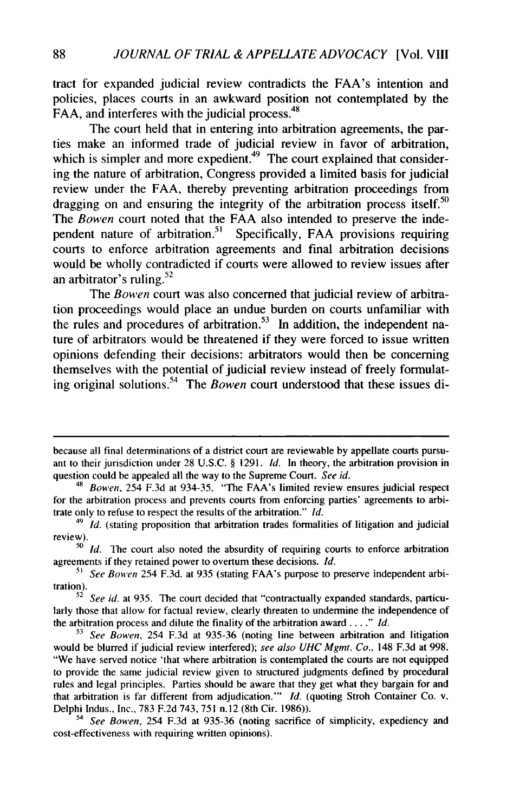tract for expanded judicial review contradicts the FAA's intention and policies, places courts in an awkward position not contemplated by the FAA, and interferes with the judicial process.<sup>48</sup>

The court held that in entering into arbitration agreements, the parties make an informed trade of judicial review in favor of arbitration, which is simpler and more expedient.<sup>49</sup> The court explained that considering the nature of arbitration, Congress provided a limited basis for judicial review under the FAA, thereby preventing arbitration proceedings from dragging on and ensuring the integrity of the arbitration process itself.<sup>50</sup> The *Bowen* court noted that the FAA also intended to preserve the independent nature of arbitration.<sup>51</sup> Specifically, FAA provisions requiring courts to enforce arbitration agreements and final arbitration decisions would be wholly contradicted if courts were allowed to review issues after an arbitrator's ruling. $52$ 

The *Bowen* court was also concerned that judicial review of arbitration proceedings would place an undue burden on courts unfamiliar with the rules and procedures of arbitration.<sup>53</sup> In addition, the independent nature of arbitrators would be threatened if they were forced to issue written opinions defending their decisions: arbitrators would then be concerning themselves with the potential of judicial review instead of freely formulating original solutions. The *Bowen* court understood that these issues di-

because all final determinations of a district court are reviewable by appellate courts pursuant to their jurisdiction under 28 U.S.C. § 1291. *Id.* In theory, the arbitration provision in question could be appealed all the way to the Supreme Court. *See id.*

<sup>48</sup>*Bowen,* 254 F.3d at 934-35. "The FAA's limited review ensures judicial respect for the arbitration process and prevents courts from enforcing parties' agreements to arbitrate only to refuse to respect the results of the arbitration." *Id.*

<sup>&</sup>lt;sup>49</sup> *Id.* (stating proposition that arbitration trades formalities of litigation and judicial review).

**<sup>50</sup>***Id.* The court also noted the absurdity of requiring courts to enforce arbitration agreements if they retained power to overturn these decisions. *Id.*

**<sup>51</sup>** *See* Bowen 254 F.3d. at 935 (stating FAA's purpose to preserve independent arbitration).

<sup>52</sup> *See id.* at 935. The court decided that "contractually expanded standards, particularly those that allow for factual review, clearly threaten to undermine the independence of the arbitration process and dilute the finality of the arbitration award  $\ldots$ ." *Id.* 

**<sup>53</sup>** *See Bowen,* 254 F.3d at 935-36 (noting line between arbitration and litigation would be blurred if judicial review interfered); *see also UHC Mgmt. Co.,* 148 F.3d at 998. "We have served notice 'that where arbitration is contemplated the courts are not equipped to provide the same judicial review given to structured judgments defined by procedural rules and legal principles. Parties should be aware that they get what they bargain for and that arbitration is far different from adjudication."' *Id.* (quoting Stroh Container Co. v. Delphi Indus., Inc., 783 F.2d 743, 751 n.12 (8th Cir. 1986)).

<sup>54</sup>*See Bowen,* 254 F.3d at 935-36 (noting sacrifice of simplicity, expediency and cost-effectiveness with requiring written opinions).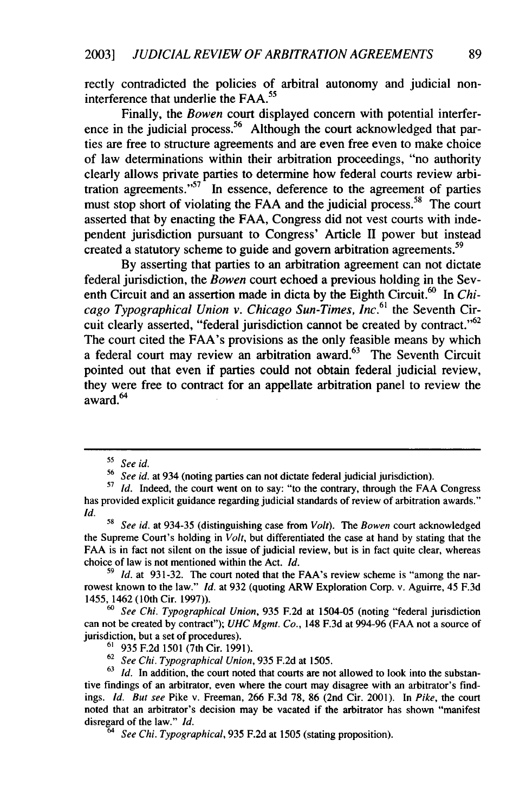rectly contradicted the policies of arbitral autonomy and judicial noninterference that underlie the FAA.<sup>55</sup>

Finally, the *Bowen* court displayed concern with potential interference in the judicial process.<sup>56</sup> Although the court acknowledged that parties are free to structure agreements and are even free even to make choice of law determinations within their arbitration proceedings, "no authority clearly allows private parties to determine how federal courts review arbitration agreements." $57$  In essence, deference to the agreement of parties must stop short of violating the FAA and the judicial process.<sup>58</sup> The court asserted that by enacting the FAA, Congress did not vest courts with independent jurisdiction pursuant to Congress' Article II power but instead created a statutory scheme to guide and govern arbitration agreements.<sup>59</sup>

By asserting that parties to an arbitration agreement can not dictate federal jurisdiction, the *Bowen* court echoed a previous holding in the Seventh Circuit and an assertion made in dicta by the Eighth Circuit.<sup>60</sup> In *Chicago Typographical Union v. Chicago Sun-Times, Inc.61* the Seventh Circuit clearly asserted, "federal jurisdiction cannot be created by contract."<sup>62</sup> The court cited the FAA's provisions as the only feasible means by which a federal court may review an arbitration award. $63$  The Seventh Circuit pointed out that even if parties could not obtain federal judicial review, they were free to contract for an appellate arbitration panel to review the award<sup>64</sup>

*<sup>60</sup>See Chi. Typographical Union,* 935 F.2d at 1504-05 (noting "federal jurisdiction can not be created by contract"); *UHC Mgmt. Co.,* 148 F.3d at 994-96 (FAA not a source of jurisdiction, but a set of procedures).

*<sup>&</sup>quot; See id.*

<sup>56</sup>*See id.* at 934 (noting parties can not dictate federal judicial jurisdiction).

<sup>&</sup>lt;sup>57</sup> *Id.* Indeed, the court went on to say: "to the contrary, through the FAA Congress has provided explicit guidance regarding judicial standards of review of arbitration awards." *Id.*

<sup>58</sup>*See id.* at 934-35 (distinguishing case from *Volt). The Bowen* court acknowledged the Supreme Court's holding in *Volt,* but differentiated the case at hand by stating that the FAA is in fact not silent on the issue of judicial review, but is in fact quite clear, whereas choice of law is not mentioned within the Act. *Id.*

*<sup>59</sup> Id.* at 931-32. The court noted that the FAA's review scheme is "among the narrowest known to the law." *Id.* at 932 (quoting ARW Exploration Corp. v. Aguirre, 45 F.3d 1455, 1462 (10th Cir. 1997)).

**<sup>61</sup>935** F.2d 1501 (7th Cir. 1991).

<sup>62</sup>*See Chi. Typographical Union,* 935 F.2d at 1505.

<sup>&</sup>lt;sup>63</sup> *Id.* In addition, the court noted that courts are not allowed to look into the substantive findings of an arbitrator, even where the court may disagree with an arbitrator's findings. *Id. But see* Pike v. Freeman, 266 F.3d 78, 86 (2nd Cir. 2001). In *Pike,* the court noted that an arbitrator's decision may be vacated if the arbitrator has shown "manifest disregard of the law." *Id.*

*<sup>64</sup> See Chi. Typographical,* 935 F.2d at 1505 (stating proposition).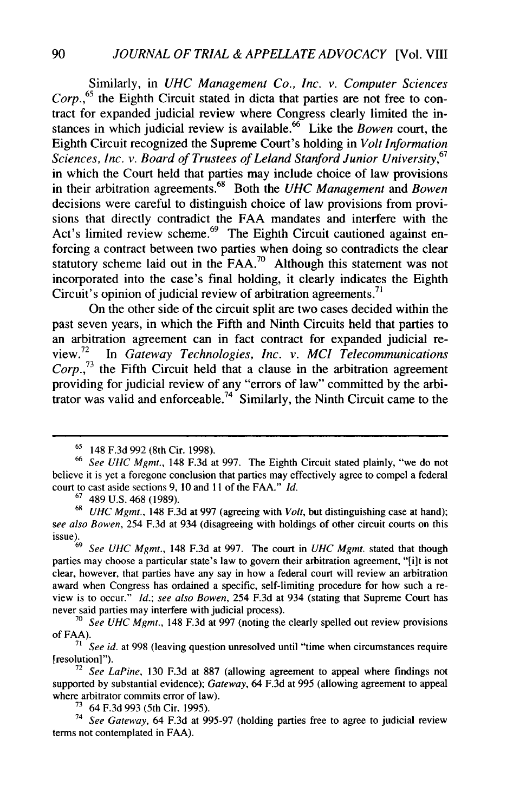Similarly, in *UHC Management Co., Inc. v. Computer Sciences Corp.,65* the Eighth Circuit stated in dicta that parties are not free to contract for expanded judicial review where Congress clearly limited the instances in which judicial review is available.<sup>66</sup> Like the *Bowen* court, the Eighth Circuit recognized the Supreme Court's holding in *Volt Information Sciences, Inc. v. Board of Trustees of Leland Stanford Junior University,<sup>67</sup>* in which the Court held that parties may include choice of law provisions in their arbitration agreements.<sup>68</sup> Both the *UHC Management* and *Bowen* decisions were careful to distinguish choice of law provisions from provisions that directly contradict the FAA mandates and interfere with the Act's limited review scheme.<sup>69</sup> The Eighth Circuit cautioned against enforcing a contract between two parties when doing so contradicts the clear statutory scheme laid out in the  $FAA$ <sup>70</sup> Although this statement was not incorporated into the case's final holding, it clearly indicates the Eighth Circuit's opinion of judicial review of arbitration agreements.<sup>7</sup>

On the other side of the circuit split are two cases decided within the past seven years, in which the Fifth and Ninth Circuits held that parties to an arbitration agreement can in fact contract for expanded judicial re-**<sup>72</sup>** view. *In Gateway Technologies, Inc. v. MCI Telecommunications Corp.,73* the Fifth Circuit held that a clause in the arbitration agreement providing for judicial review of any "errors of law" committed by the arbitrator was valid and enforceable.74 Similarly, the Ninth Circuit came to the

<sup>65</sup> 148 F.3d 992 (8th Cir. 1998).

<sup>66</sup>*See UHC Mgmt.,* 148 F.3d at 997. The Eighth Circuit stated plainly, "we do not believe it is yet a foregone conclusion that parties may effectively agree to compel a federal court to cast aside sections 9, 10 and **II** of the FAA." *Id.*

 $67$  489 U.S. 468 (1989).

*<sup>68</sup>UHC Mgmt.,* 148 F.3d at 997 (agreeing with *Volt,* but distinguishing case at hand); *see also Bowen,* 254 F.3d at 934 (disagreeing with holdings of other circuit courts on this issue). <sup>69</sup>*See UHC Mgmt.,* 148 F.3d at 997. The court in *UHC Mgmt.* stated that though

parties may choose a particular state's law to govern their arbitration agreement, "[i]t is not clear, however, that parties have any say in how a federal court will review an arbitration award when Congress has ordained a specific, self-limiting procedure for how such a review is to occur." *Id.; see also Bowen,* 254 F.3d at 934 (stating that Supreme Court has never said parties may interfere with judicial process).

<sup>70</sup>*See UHC Mgmt.,* 148 F.3d at 997 (noting the clearly spelled out review provisions of FAA).

<sup>71</sup> *See id.* at 998 (leaving question unresolved until "time when circumstances require [resolution]").

<sup>72</sup>*See LaPine,* 130 F.3d at 887 (allowing agreement to appeal where findings not supported by substantial evidence); *Gateway,* 64 F.3d at 995 (allowing agreement to appeal where arbitrator commits error of law).

**<sup>7&#</sup>x27;** 64 F.3d 993 (5th Cir. 1995).

<sup>74</sup>*See Gateway,* 64 F.3d at 995-97 (holding parties free to agree to judicial review terms not contemplated in FAA).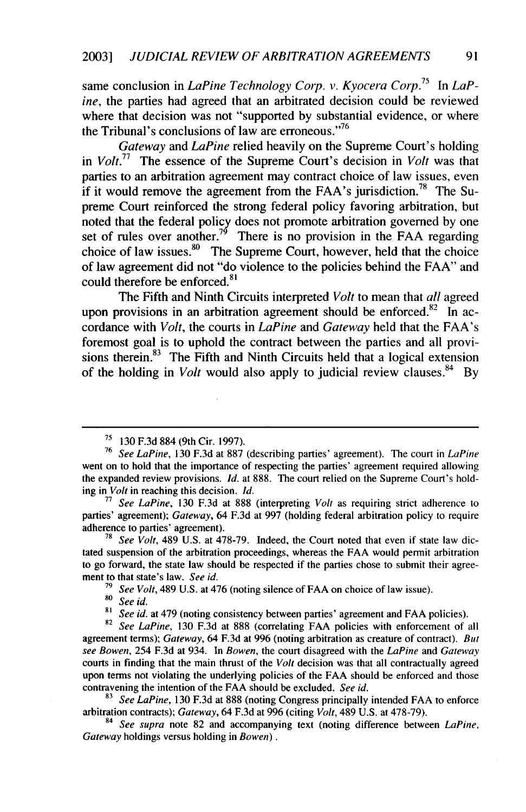same conclusion in *LaPine Technology Corp. v. Kyocera Corp.*<sup>75</sup> In *LaP*ine, the parties had agreed that an arbitrated decision could be reviewed where that decision was not "supported by substantial evidence, or where the Tribunal's conclusions of law are erroneous."<sup>76</sup>

*Gateway* and *LaPine* relied heavily on the Supreme Court's holding in  $Volt$ <sup>77</sup> The essence of the Supreme Court's decision in *Volt* was that parties to an arbitration agreement may contract choice of law issues, even if it would remove the agreement from the FAA's jurisdiction.<sup>78</sup> The Supreme Court reinforced the strong federal policy favoring arbitration, but noted that the federal policy does not promote arbitration governed by one set of rules over another.<sup>79</sup> There is no provision in the FAA regarding choice of law issues. $80$  The Supreme Court, however, held that the choice of law agreement did not "do violence to the policies behind the FAA" and could therefore be enforced.<sup>81</sup>

The Fifth and Ninth Circuits interpreted *Volt* to mean that *all* agreed upon provisions in an arbitration agreement should be enforced.<sup>82</sup> In accordance with *Volt,* the courts in *LaPine* and *Gateway* held that the FAA's foremost goal is to uphold the contract between the parties and all provisions therein. $83$  The Fifth and Ninth Circuits held that a logical extension of the holding in *Volt* would also apply to judicial review clauses.<sup>84</sup> By

**78** *See Volt,* 489 U.S. at 478-79. Indeed, the Court noted that even if state law dictated suspension of the arbitration proceedings, whereas the FAA would permit arbitration to go forward, the state law should be respected if the parties chose to submit their agreement to that state's law. *See id.*

**<sup>82</sup>***See LaPine,* 130 F.3d at 888 (correlating FAA policies with enforcement of all agreement terms); *Gateway,* 64 F.3d at 996 (noting arbitration as creature of contract). *But see Bowen,* 254 F.3d at 934. In *Bowen,* the court disagreed with the *LaPine* and *Gateway* courts in finding that the main thrust of the *Volt* decision was that all contractually agreed upon terms not violating the underlying policies of the FAA should be enforced and those contravening the intention of the FAA should be excluded. *See id.*

**<sup>83</sup>***See LaPine,* 130 F.3d at 888 (noting Congress principally intended FAA to enforce arbitration contracts); *Gateway,* 64 F.3d at 996 (citing *Volt,* 489 U.S. at 478-79).

<sup>84</sup>*See supra* note 82 and accompanying text (noting difference between *LaPine, Gateway* holdings versus holding in *Bowen).*

**<sup>71</sup>** 130 F.3d 884 (9th Cir. 1997).

**<sup>76</sup>***See LaPine,* 130 F.3d at 887 (describing parties' agreement). The court in *LaPine* went on to hold that the importance of respecting the parties' agreement required allowing the expanded review provisions. *Id.* at 888. The court relied on the Supreme Court's holding in *Volt* in reaching this decision. *Id.*

**<sup>77</sup>***See LaPine,* 130 F.3d at 888 (interpreting *Volt* as requiring strict adherence to parties' agreement); *Gateway,* 64 F.3d at 997 (holding federal arbitration policy to require adherence to parties' agreement).

**<sup>79</sup>***See Volt,* 489 U.S. at 476 (noting silence of FAA on choice of law issue).

*<sup>80</sup>See id.*

**<sup>81</sup>** *See id.* at 479 (noting consistency between parties' agreement and FAA policies).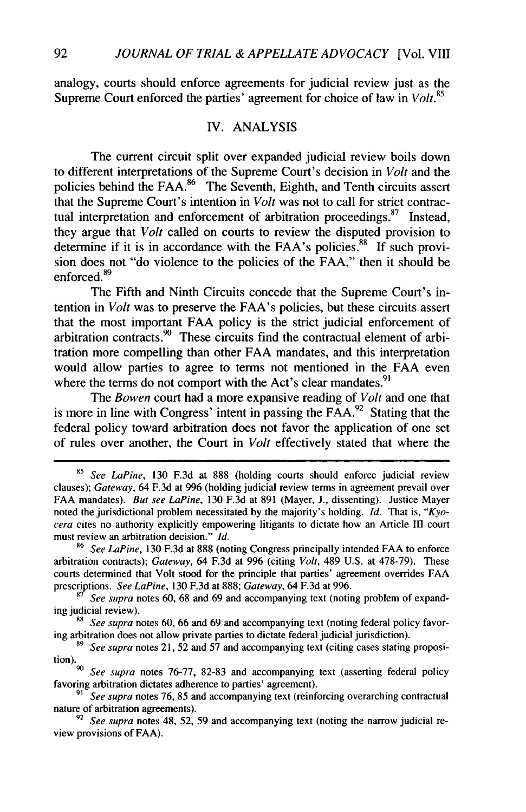analogy, courts should enforce agreements for judicial review just as the Supreme Court enforced the parties' agreement for choice of law in *Volt.<sup>85</sup>*

#### IV. ANALYSIS

The current circuit split over expanded judicial review boils down to different interpretations of the Supreme Court's decision in *Volt* and the policies behind the FAA. $86$  The Seventh, Eighth, and Tenth circuits assert that the Supreme Court's intention in *Volt* was not to call for strict contractual interpretation and enforcement of arbitration proceedings. $87$  Instead, they argue that *Volt* called on courts to review the disputed provision to determine if it is in accordance with the FAA's policies.<sup>88</sup> If such provision does not "do violence to the policies of the FAA," then it should be enforced.<sup>89</sup>

The Fifth and Ninth Circuits concede that the Supreme Court's intention in *Volt* was to preserve the FAA's policies, but these circuits assert that the most important FAA policy is the strict judicial enforcement of arbitration contracts. 9° These circuits find the contractual element of arbitration more compelling than other FAA mandates, and this interpretation would allow parties to agree to terms not mentioned in the FAA even where the terms do not comport with the Act's clear mandates.<sup>9</sup>

The *Bowen* court had a more expansive reading of *Volt* and one that is more in line with Congress' intent in passing the  $\overline{FAA}^{22}$  Stating that the federal policy toward arbitration does not favor the application of one set of rules over another, the Court in *Volt* effectively stated that where the

<sup>&</sup>lt;sup>85</sup> See LaPine, 130 F.3d at 888 (holding courts should enforce judicial review clauses); *Gateway,* 64 F.3d at 996 (holding judicial review terms in agreement prevail over FAA mandates). But see *LaPine,* 130 F.3d at 891 (Mayer, J., dissenting). Justice Mayer noted the jurisdictional problem necessitated by the majority's holding. *Id.* That is, *"Kyocera* cites no authority explicitly empowering litigants to dictate how an Article III court must review an arbitration decision." *Id.*

<sup>86</sup>*See LaPine,* 130 F.3d at 888 (noting Congress principally intended FAA to enforce arbitration contracts); *Gateway,* 64 F.3d at 996 (citing *Volt,* 489 U.S. at 478-79). These courts determined that Volt stood for the principle that parties' agreement overrides FAA prescriptions. *See LaPine,* 130 F.3d at 888; *Gateway,* 64 F.3d at 996.

**<sup>87</sup>** *See supra* notes 60, 68 and 69 and accompanying text (noting problem of expanding judicial review).

<sup>&</sup>lt;sup>88</sup> *See supra* notes 60, 66 and 69 and accompanying text (noting federal policy favoring arbitration does not allow private parties to dictate federal judicial jurisdiction).

**<sup>89</sup>** *See supra* notes 21, 52 and 57 and accompanying text (citing cases stating proposition).

*<sup>90</sup>See supra* notes 76-77, 82-83 and accompanying text (asserting federal policy favoring arbitration dictates adherence to parties' agreement).

*<sup>91</sup> See supra* notes 76, 85 and accompanying text (reinforcing overarching contractual nature of arbitration agreements).

<sup>92</sup> *See supra* notes 48, 52, 59 and accompanying text (noting the narrow judicial review provisions of FAA).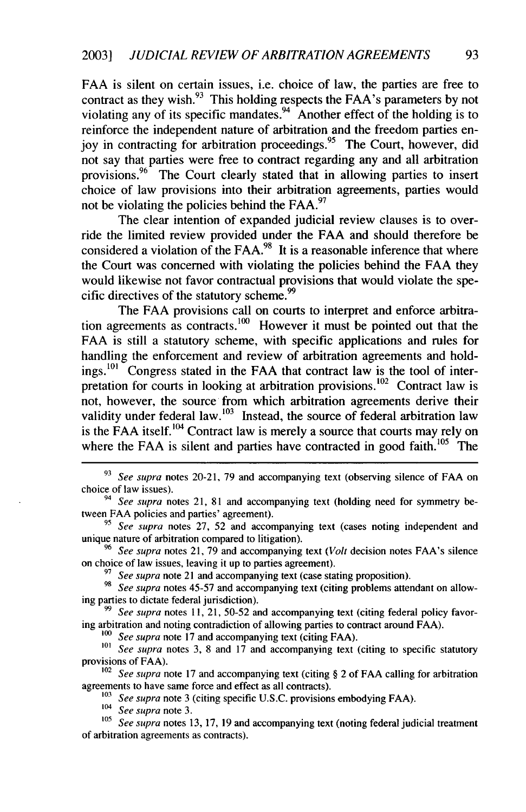FAA is silent on certain issues, i.e. choice of law, the parties are free to contract as they wish.<sup>93</sup> This holding respects the FAA's parameters by not violating any of its specific mandates.<sup>94</sup> Another effect of the holding is to reinforce the independent nature of arbitration and the freedom parties enjoy in contracting for arbitration proceedings.<sup>95</sup> The Court, however, did not say that parties were free to contract regarding any and all arbitration provisions.<sup>96</sup> The Court clearly stated that in allowing parties to insert choice of law provisions into their arbitration agreements, parties would not be violating the policies behind the FAA.<sup>97</sup>

The clear intention of expanded judicial review clauses is to override the limited review provided under the FAA and should therefore be considered a violation of the FAA. $98$  It is a reasonable inference that where the Court was concerned with violating the policies behind the FAA they would likewise not favor contractual provisions that would violate the specific directives of the statutory scheme.<sup>99</sup>

The FAA provisions call on courts to interpret and enforce arbitration agreements as contracts.<sup>100</sup> However it must be pointed out that the FAA is still a statutory scheme, with specific applications and rules for handling the enforcement and review of arbitration agreements and holdings.<sup>101</sup> Congress stated in the FAA that contract law is the tool of interpretation for courts in looking at arbitration provisions.<sup>102</sup> Contract law is not, however, the source from which arbitration agreements derive their validity under federal law.  $103$  Instead, the source of federal arbitration law is the FAA itself.<sup>104</sup> Contract law is merely a source that courts may rely on where the FAA is silent and parties have contracted in good faith.<sup>105</sup> The

*<sup>95</sup>See supra* notes 27, 52 and accompanying text (cases noting independent and unique nature of arbitration compared to litigation).

<sup>96</sup>*See supra* notes 21, 79 and accompanying text *(Volt* decision notes FAA's silence on choice of law issues, leaving it up to parties agreement).

**<sup>97</sup>***See supra* note 21 and accompanying text (case stating proposition).

*98 See supra* notes 45-57 and accompanying text (citing problems attendant on allowing parties to dictate federal jurisdiction).

*99 See supra* notes 11, 21, 50-52 and accompanying text (citing federal policy favoring arbitration and noting contradiction of allowing parties to contract around FAA).

*1oo See supra* note 17 and accompanying text (citing FAA).

<sup>101</sup> *See supra* notes 3, 8 and 17 and accompanying text (citing to specific statutory provisions of FAA).

*102 See supra* note 17 and accompanying text (citing § 2 of FAA calling for arbitration agreements to have same force and effect as all contracts).

103 *See supra* note 3 (citing specific U.S.C. provisions embodying FAA).

104 *See supra* note 3.

<sup>105</sup> See supra notes 13, 17, 19 and accompanying text (noting federal judicial treatment of arbitration agreements as contracts).

**<sup>93</sup>***See supra* notes 20-21, 79 and accompanying text (observing silence of FAA on choice of law issues).

<sup>&</sup>lt;sup>94</sup> See supra notes 21, 81 and accompanying text (holding need for symmetry between FAA policies and parties' agreement).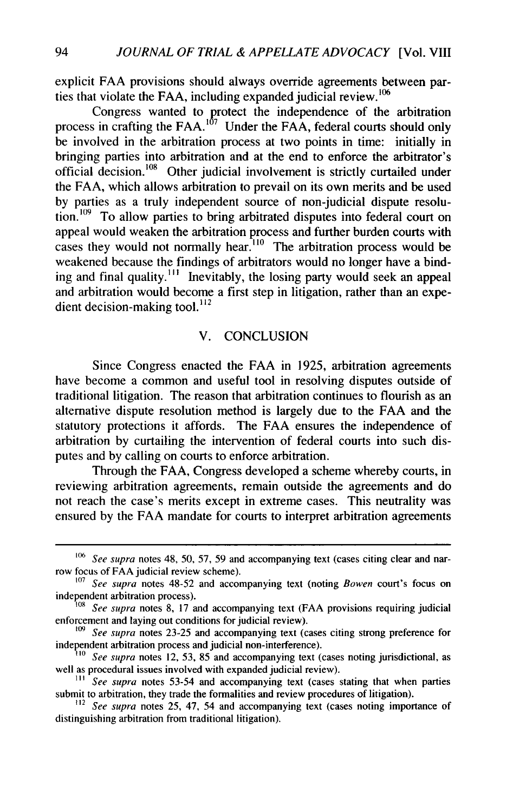explicit FAA provisions should always override agreements between parties that violate the FAA, including expanded judicial review. **°6**

Congress wanted to protect the independence of the arbitration process in crafting the FAA.<sup>107</sup> Under the FAA, federal courts should only be involved in the arbitration process at two points in time: initially in bringing parties into arbitration and at the end to enforce the arbitrator's official decision.<sup>108</sup> Other judicial involvement is strictly curtailed under the FAA, which allows arbitration to prevail on its own merits and be used by parties as a truly independent source of non-judicial dispute resolution.<sup>109</sup> To allow parties to bring arbitrated disputes into federal court on appeal would weaken the arbitration process and further burden courts with cases they would not normally hear.<sup>110</sup> The arbitration process would be weakened because the findings of arbitrators would no longer have a binding and final quality.<sup>111</sup> Inevitably, the losing party would seek an appeal and arbitration would become a first step in litigation, rather than an expedient decision-making tool. $^{112}$ 

#### V. CONCLUSION

Since Congress enacted the FAA in 1925, arbitration agreements have become a common and useful tool in resolving disputes outside of traditional litigation. The reason that arbitration continues to flourish as an alternative dispute resolution method is largely due to the FAA and the statutory protections it affords. The FAA ensures the independence of arbitration by curtailing the intervention of federal courts into such disputes and by calling on courts to enforce arbitration.

Through the FAA, Congress developed a scheme whereby courts, in reviewing arbitration agreements, remain outside the agreements and do not reach the case's merits except in extreme cases. This neutrality was ensured by the FAA mandate for courts to interpret arbitration agreements

*<sup>106</sup> See supra* notes 48, 50, 57, 59 and accompanying text (cases citing clear and narrow focus of FAA judicial review scheme).

**<sup>107</sup>** *See supra* notes 48-52 and accompanying text (noting *Bowen* court's focus on independent arbitration process).

*<sup>108</sup>See supra* notes 8, **17** and accompanying text (FAA provisions requiring judicial enforcement and laying out conditions for judicial review).

*<sup>109</sup>See supra* notes 23-25 and accompanying text (cases citing strong preference for independent arbitration process and judicial non-interference).

*<sup>110</sup>See supra* notes 12, 53, 85 and accompanying text (cases noting jurisdictional, as well as procedural issues involved with expanded judicial review).

<sup>&</sup>lt;sup>111</sup> See supra notes 53-54 and accompanying text (cases stating that when parties submit to arbitration, they trade the formalities and review procedures of litigation).

*<sup>12</sup>See supra* notes 25, 47, 54 and accompanying text (cases noting importance of distinguishing arbitration from traditional litigation).